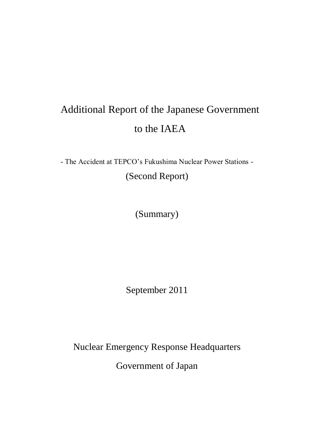# Additional Report of the Japanese Government to the IAEA

- The Accident at TEPCO's Fukushima Nuclear Power Stations - (Second Report)

(Summary)

September 2011

Nuclear Emergency Response Headquarters Government of Japan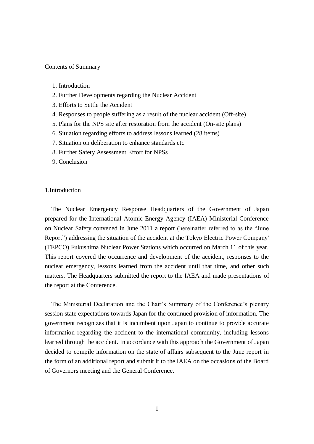#### Contents of Summary

- 1. Introduction
- 2. Further Developments regarding the Nuclear Accident
- 3. Efforts to Settle the Accident
- 4. Responses to people suffering as a result of the nuclear accident (Off-site)
- 5. Plans for the NPS site after restoration from the accident (On-site plans)
- 6. Situation regarding efforts to address lessons learned (28 items)
- 7. Situation on deliberation to enhance standards etc
- 8. Further Safety Assessment Effort for NPSs
- 9. Conclusion

# 1.Introduction

The Nuclear Emergency Response Headquarters of the Government of Japan prepared for the International Atomic Energy Agency (IAEA) Ministerial Conference on Nuclear Safety convened in June 2011 a report (hereinafter referred to as the "June Report") addressing the situation of the accident at the Tokyo Electric Power Company' (TEPCO) Fukushima Nuclear Power Stations which occurred on March 11 of this year. This report covered the occurrence and development of the accident, responses to the nuclear emergency, lessons learned from the accident until that time, and other such matters. The Headquarters submitted the report to the IAEA and made presentations of the report at the Conference.

The Ministerial Declaration and the Chair's Summary of the Conference's plenary session state expectations towards Japan for the continued provision of information. The government recognizes that it is incumbent upon Japan to continue to provide accurate information regarding the accident to the international community, including lessons learned through the accident. In accordance with this approach the Government of Japan decided to compile information on the state of affairs subsequent to the June report in the form of an additional report and submit it to the IAEA on the occasions of the Board of Governors meeting and the General Conference.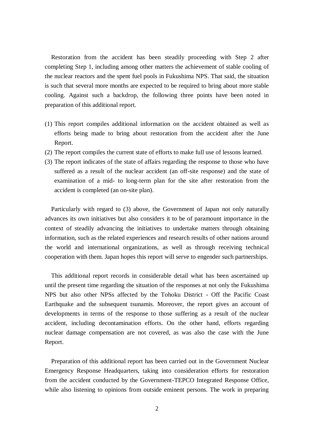Restoration from the accident has been steadily proceeding with Step 2 after completing Step 1, including among other matters the achievement of stable cooling of the nuclear reactors and the spent fuel pools in Fukushima NPS. That said, the situation is such that several more months are expected to be required to bring about more stable cooling. Against such a backdrop, the following three points have been noted in preparation of this additional report.

- (1) This report compiles additional information on the accident obtained as well as efforts being made to bring about restoration from the accident after the June Report.
- (2) The report compiles the current state of efforts to make full use of lessons learned.
- (3) The report indicates of the state of affairs regarding the response to those who have suffered as a result of the nuclear accident (an off-site response) and the state of examination of a mid- to long-term plan for the site after restoration from the accident is completed (an on-site plan).

Particularly with regard to (3) above, the Government of Japan not only naturally advances its own initiatives but also considers it to be of paramount importance in the context of steadily advancing the initiatives to undertake matters through obtaining information, such as the related experiences and research results of other nations around the world and international organizations, as well as through receiving technical cooperation with them. Japan hopes this report will serve to engender such partnerships.

This additional report records in considerable detail what has been ascertained up until the present time regarding the situation of the responses at not only the Fukushima NPS but also other NPSs affected by the Tohoku District - Off the Pacific Coast Earthquake and the subsequent tsunamis. Moreover, the report gives an account of developments in terms of the response to those suffering as a result of the nuclear accident, including decontamination efforts. On the other hand, efforts regarding nuclear damage compensation are not covered, as was also the case with the June Report.

Preparation of this additional report has been carried out in the Government Nuclear Emergency Response Headquarters, taking into consideration efforts for restoration from the accident conducted by the Government-TEPCO Integrated Response Office, while also listening to opinions from outside eminent persons. The work in preparing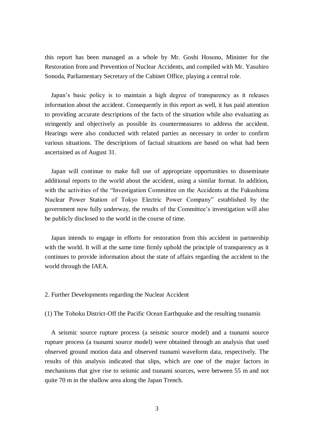this report has been managed as a whole by Mr. Goshi Hosono, Minister for the Restoration from and Prevention of Nuclear Accidents, and compiled with Mr. Yasuhiro Sonoda, Parliamentary Secretary of the Cabinet Office, playing a central role.

Japan's basic policy is to maintain a high degree of transparency as it releases information about the accident. Consequently in this report as well, it has paid attention to providing accurate descriptions of the facts of the situation while also evaluating as stringently and objectively as possible its countermeasures to address the accident. Hearings were also conducted with related parties as necessary in order to confirm various situations. The descriptions of factual situations are based on what had been ascertained as of August 31.

Japan will continue to make full use of appropriate opportunities to disseminate additional reports to the world about the accident, using a similar format. In addition, with the activities of the "Investigation Committee on the Accidents at the Fukushima Nuclear Power Station of Tokyo Electric Power Company" established by the government now fully underway, the results of the Committee's investigation will also be publicly disclosed to the world in the course of time.

Japan intends to engage in efforts for restoration from this accident in partnership with the world. It will at the same time firmly uphold the principle of transparency as it continues to provide information about the state of affairs regarding the accident to the world through the IAEA.

#### 2. Further Developments regarding the Nuclear Accident

(1) The Tohoku District-Off the Pacific Ocean Earthquake and the resulting tsunamis

A seismic source rupture process (a seismic source model) and a tsunami source rupture process (a tsunami source model) were obtained through an analysis that used observed ground motion data and observed tsunami waveform data, respectively. The results of this analysis indicated that slips, which are one of the major factors in mechanisms that give rise to seismic and tsunami sources, were between 55 m and not quite 70 m in the shallow area along the Japan Trench.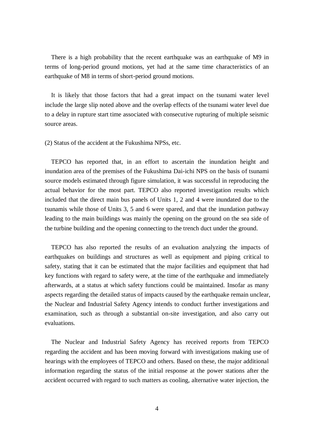There is a high probability that the recent earthquake was an earthquake of M9 in terms of long-period ground motions, yet had at the same time characteristics of an earthquake of M8 in terms of short-period ground motions.

It is likely that those factors that had a great impact on the tsunami water level include the large slip noted above and the overlap effects of the tsunami water level due to a delay in rupture start time associated with consecutive rupturing of multiple seismic source areas.

(2) Status of the accident at the Fukushima NPSs, etc.

TEPCO has reported that, in an effort to ascertain the inundation height and inundation area of the premises of the Fukushima Dai-ichi NPS on the basis of tsunami source models estimated through figure simulation, it was successful in reproducing the actual behavior for the most part. TEPCO also reported investigation results which included that the direct main bus panels of Units 1, 2 and 4 were inundated due to the tsunamis while those of Units 3, 5 and 6 were spared, and that the inundation pathway leading to the main buildings was mainly the opening on the ground on the sea side of the turbine building and the opening connecting to the trench duct under the ground.

TEPCO has also reported the results of an evaluation analyzing the impacts of earthquakes on buildings and structures as well as equipment and piping critical to safety, stating that it can be estimated that the major facilities and equipment that had key functions with regard to safety were, at the time of the earthquake and immediately afterwards, at a status at which safety functions could be maintained. Insofar as many aspects regarding the detailed status of impacts caused by the earthquake remain unclear, the Nuclear and Industrial Safety Agency intends to conduct further investigations and examination, such as through a substantial on-site investigation, and also carry out evaluations.

The Nuclear and Industrial Safety Agency has received reports from TEPCO regarding the accident and has been moving forward with investigations making use of hearings with the employees of TEPCO and others. Based on these, the major additional information regarding the status of the initial response at the power stations after the accident occurred with regard to such matters as cooling, alternative water injection, the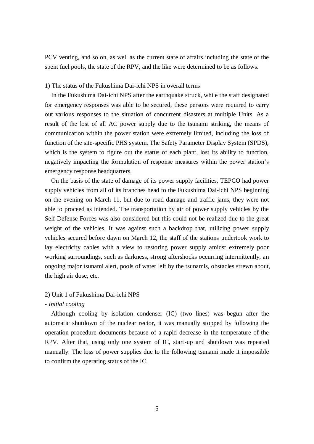PCV venting, and so on, as well as the current state of affairs including the state of the spent fuel pools, the state of the RPV, and the like were determined to be as follows.

#### 1) The status of the Fukushima Dai-ichi NPS in overall terms

In the Fukushima Dai-ichi NPS after the earthquake struck, while the staff designated for emergency responses was able to be secured, these persons were required to carry out various responses to the situation of concurrent disasters at multiple Units. As a result of the lost of all AC power supply due to the tsunami striking, the means of communication within the power station were extremely limited, including the loss of function of the site-specific PHS system. The Safety Parameter Display System (SPDS), which is the system to figure out the status of each plant, lost its ability to function, negatively impacting the formulation of response measures within the power station's emergency response headquarters.

On the basis of the state of damage of its power supply facilities, TEPCO had power supply vehicles from all of its branches head to the Fukushima Dai-ichi NPS beginning on the evening on March 11, but due to road damage and traffic jams, they were not able to proceed as intended. The transportation by air of power supply vehicles by the Self-Defense Forces was also considered but this could not be realized due to the great weight of the vehicles. It was against such a backdrop that, utilizing power supply vehicles secured before dawn on March 12, the staff of the stations undertook work to lay electricity cables with a view to restoring power supply amidst extremely poor working surroundings, such as darkness, strong aftershocks occurring intermittently, an ongoing major tsunami alert, pools of water left by the tsunamis, obstacles strewn about, the high air dose, etc.

#### 2) Unit 1 of Fukushima Dai-ichi NPS

# - *Initial cooling*

Although cooling by isolation condenser (IC) (two lines) was begun after the automatic shutdown of the nuclear rector, it was manually stopped by following the operation procedure documents because of a rapid decrease in the temperature of the RPV. After that, using only one system of IC, start-up and shutdown was repeated manually. The loss of power supplies due to the following tsunami made it impossible to confirm the operating status of the IC.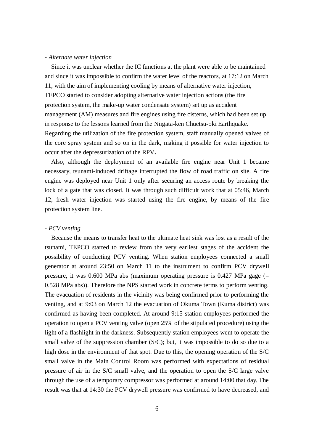#### *- Alternate water injection*

Since it was unclear whether the IC functions at the plant were able to be maintained and since it was impossible to confirm the water level of the reactors, at 17:12 on March 11, with the aim of implementing cooling by means of alternative water injection, TEPCO started to consider adopting alternative water injection actions (the fire protection system, the make-up water condensate system) set up as accident management (AM) measures and fire engines using fire cisterns, which had been set up in response to the lessons learned from the Niigata-ken Chuetsu-oki Earthquake. Regarding the utilization of the fire protection system, staff manually opened valves of the core spray system and so on in the dark, making it possible for water injection to occur after the depressurization of the RPV**.**

Also, although the deployment of an available fire engine near Unit 1 became necessary, tsunami-induced driftage interrupted the flow of road traffic on site. A fire engine was deployed near Unit 1 only after securing an access route by breaking the lock of a gate that was closed. It was through such difficult work that at 05:46, March 12, fresh water injection was started using the fire engine, by means of the fire protection system line.

#### - *PCV venting*

Because the means to transfer heat to the ultimate heat sink was lost as a result of the tsunami, TEPCO started to review from the very earliest stages of the accident the possibility of conducting PCV venting. When station employees connected a small generator at around 23:50 on March 11 to the instrument to confirm PCV drywell pressure, it was 0.600 MPa abs (maximum operating pressure is 0.427 MPa gage (= 0.528 MPa abs)). Therefore the NPS started work in concrete terms to perform venting. The evacuation of residents in the vicinity was being confirmed prior to performing the venting, and at 9:03 on March 12 the evacuation of Okuma Town (Kuma district) was confirmed as having been completed. At around 9:15 station employees performed the operation to open a PCV venting valve (open 25% of the stipulated procedure) using the light of a flashlight in the darkness. Subsequently station employees went to operate the small valve of the suppression chamber (S/C); but, it was impossible to do so due to a high dose in the environment of that spot. Due to this, the opening operation of the S/C small valve in the Main Control Room was performed with expectations of residual pressure of air in the S/C small valve, and the operation to open the S/C large valve through the use of a temporary compressor was performed at around 14:00 that day. The result was that at 14:30 the PCV drywell pressure was confirmed to have decreased, and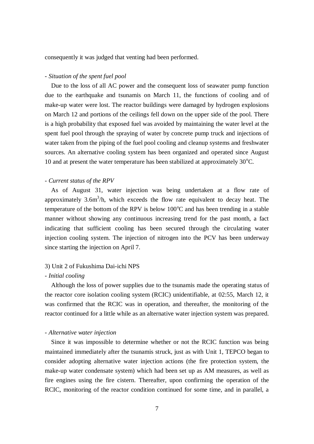consequently it was judged that venting had been performed.

# *- Situation of the spent fuel pool*

Due to the loss of all AC power and the consequent loss of seawater pump function due to the earthquake and tsunamis on March 11, the functions of cooling and of make-up water were lost. The reactor buildings were damaged by hydrogen explosions on March 12 and portions of the ceilings fell down on the upper side of the pool. There is a high probability that exposed fuel was avoided by maintaining the water level at the spent fuel pool through the spraying of water by concrete pump truck and injections of water taken from the piping of the fuel pool cooling and cleanup systems and freshwater sources. An alternative cooling system has been organized and operated since August 10 and at present the water temperature has been stabilized at approximately  $30^{\circ}$ C.

#### - *Current status of the RPV*

As of August 31, water injection was being undertaken at a flow rate of approximately  $3.6m<sup>3</sup>/h$ , which exceeds the flow rate equivalent to decay heat. The temperature of the bottom of the RPV is below  $100^{\circ}$ C and has been trending in a stable manner without showing any continuous increasing trend for the past month, a fact indicating that sufficient cooling has been secured through the circulating water injection cooling system. The injection of nitrogen into the PCV has been underway since starting the injection on April 7.

# 3) Unit 2 of Fukushima Dai-ichi NPS

# - *Initial cooling*

Although the loss of power supplies due to the tsunamis made the operating status of the reactor core isolation cooling system (RCIC) unidentifiable, at 02:55, March 12, it was confirmed that the RCIC was in operation, and thereafter, the monitoring of the reactor continued for a little while as an alternative water injection system was prepared.

#### - *Alternative water injection*

Since it was impossible to determine whether or not the RCIC function was being maintained immediately after the tsunamis struck, just as with Unit 1, TEPCO began to consider adopting alternative water injection actions (the fire protection system, the make-up water condensate system) which had been set up as AM measures, as well as fire engines using the fire cistern. Thereafter, upon confirming the operation of the RCIC, monitoring of the reactor condition continued for some time, and in parallel, a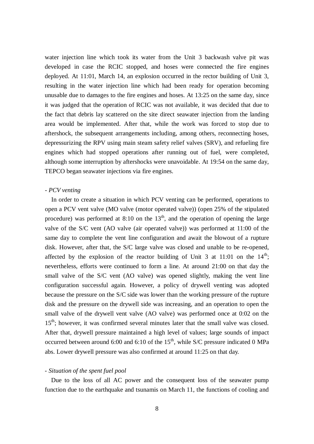water injection line which took its water from the Unit 3 backwash valve pit was developed in case the RCIC stopped, and hoses were connected the fire engines deployed. At 11:01, March 14, an explosion occurred in the rector building of Unit 3, resulting in the water injection line which had been ready for operation becoming unusable due to damages to the fire engines and hoses. At 13:25 on the same day, since it was judged that the operation of RCIC was not available, it was decided that due to the fact that debris lay scattered on the site direct seawater injection from the landing area would be implemented. After that, while the work was forced to stop due to aftershock, the subsequent arrangements including, among others, reconnecting hoses, depressurizing the RPV using main steam safety relief valves (SRV), and refueling fire engines which had stopped operations after running out of fuel, were completed, although some interruption by aftershocks were unavoidable. At 19:54 on the same day, TEPCO began seawater injections via fire engines.

#### *- PCV venting*

In order to create a situation in which PCV venting can be performed, operations to open a PCV vent valve (MO valve (motor operated valve)) (open 25% of the stipulated procedure) was performed at  $8:10$  on the  $13<sup>th</sup>$ , and the operation of opening the large valve of the S/C vent (AO valve (air operated valve)) was performed at 11:00 of the same day to complete the vent line configuration and await the blowout of a rupture disk. However, after that, the S/C large valve was closed and unable to be re-opened, affected by the explosion of the reactor building of Unit 3 at 11:01 on the  $14<sup>th</sup>$ ; nevertheless, efforts were continued to form a line. At around 21:00 on that day the small valve of the S/C vent (AO valve) was opened slightly, making the vent line configuration successful again. However, a policy of drywell venting was adopted because the pressure on the S/C side was lower than the working pressure of the rupture disk and the pressure on the drywell side was increasing, and an operation to open the small valve of the drywell vent valve (AO valve) was performed once at 0:02 on the 15<sup>th</sup>; however, it was confirmed several minutes later that the small valve was closed. After that, drywell pressure maintained a high level of values; large sounds of impact occurred between around 6:00 and 6:10 of the  $15<sup>th</sup>$ , while S/C pressure indicated 0 MPa abs. Lower drywell pressure was also confirmed at around 11:25 on that day.

#### - *Situation of the spent fuel pool*

Due to the loss of all AC power and the consequent loss of the seawater pump function due to the earthquake and tsunamis on March 11, the functions of cooling and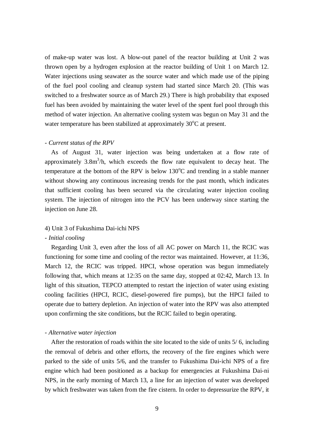of make-up water was lost. A blow-out panel of the reactor building at Unit 2 was thrown open by a hydrogen explosion at the reactor building of Unit 1 on March 12. Water injections using seawater as the source water and which made use of the piping of the fuel pool cooling and cleanup system had started since March 20. (This was switched to a freshwater source as of March 29.) There is high probability that exposed fuel has been avoided by maintaining the water level of the spent fuel pool through this method of water injection. An alternative cooling system was begun on May 31 and the water temperature has been stabilized at approximately  $30^{\circ}$ C at present.

#### - *Current status of the RPV*

As of August 31, water injection was being undertaken at a flow rate of approximately  $3.8m<sup>3</sup>/h$ , which exceeds the flow rate equivalent to decay heat. The temperature at the bottom of the RPV is below  $130^{\circ}$ C and trending in a stable manner without showing any continuous increasing trends for the past month, which indicates that sufficient cooling has been secured via the circulating water injection cooling system. The injection of nitrogen into the PCV has been underway since starting the injection on June 28.

#### 4) Unit 3 of Fukushima Dai-ichi NPS

#### - *Initial cooling*

Regarding Unit 3, even after the loss of all AC power on March 11, the RCIC was functioning for some time and cooling of the rector was maintained. However, at 11:36, March 12, the RCIC was tripped. HPCI, whose operation was begun immediately following that, which means at 12:35 on the same day, stopped at 02:42, March 13. In light of this situation, TEPCO attempted to restart the injection of water using existing cooling facilities (HPCI, RCIC, diesel-powered fire pumps), but the HPCI failed to operate due to battery depletion. An injection of water into the RPV was also attempted upon confirming the site conditions, but the RCIC failed to begin operating.

#### - *Alternative water injection*

After the restoration of roads within the site located to the side of units 5/ 6, including the removal of debris and other efforts, the recovery of the fire engines which were parked to the side of units 5/6, and the transfer to Fukushima Dai-ichi NPS of a fire engine which had been positioned as a backup for emergencies at Fukushima Dai-ni NPS, in the early morning of March 13, a line for an injection of water was developed by which freshwater was taken from the fire cistern. In order to depressurize the RPV, it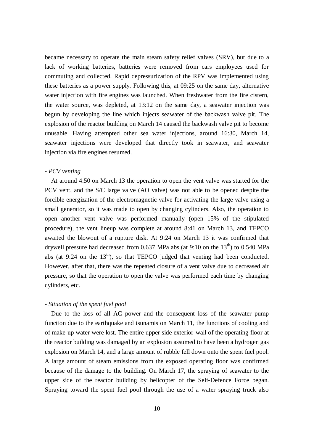became necessary to operate the main steam safety relief valves (SRV), but due to a lack of working batteries, batteries were removed from cars employees used for commuting and collected. Rapid depressurization of the RPV was implemented using these batteries as a power supply. Following this, at 09:25 on the same day, alternative water injection with fire engines was launched. When freshwater from the fire cistern, the water source, was depleted, at 13:12 on the same day, a seawater injection was begun by developing the line which injects seawater of the backwash valve pit. The explosion of the reactor building on March 14 caused the backwash valve pit to become unusable. Having attempted other sea water injections, around 16:30, March 14, seawater injections were developed that directly took in seawater, and seawater injection via fire engines resumed.

# *- PCV venting*

At around 4:50 on March 13 the operation to open the vent valve was started for the PCV vent, and the S/C large valve (AO valve) was not able to be opened despite the forcible energization of the electromagnetic valve for activating the large valve using a small generator, so it was made to open by changing cylinders. Also, the operation to open another vent valve was performed manually (open 15% of the stipulated procedure), the vent lineup was complete at around 8:41 on March 13, and TEPCO awaited the blowout of a rupture disk. At 9:24 on March 13 it was confirmed that drywell pressure had decreased from 0.637 MPa abs (at 9:10 on the  $13<sup>th</sup>$ ) to 0.540 MPa abs (at 9:24 on the  $13<sup>th</sup>$ ), so that TEPCO judged that venting had been conducted. However, after that, there was the repeated closure of a vent valve due to decreased air pressure, so that the operation to open the valve was performed each time by changing cylinders, etc.

# *- Situation of the spent fuel pool*

Due to the loss of all AC power and the consequent loss of the seawater pump function due to the earthquake and tsunamis on March 11, the functions of cooling and of make-up water were lost. The entire upper side exterior-wall of the operating floor at the reactor building was damaged by an explosion assumed to have been a hydrogen gas explosion on March 14, and a large amount of rubble fell down onto the spent fuel pool. A large amount of steam emissions from the exposed operating floor was confirmed because of the damage to the building. On March 17, the spraying of seawater to the upper side of the reactor building by helicopter of the Self-Defence Force began. Spraying toward the spent fuel pool through the use of a water spraying truck also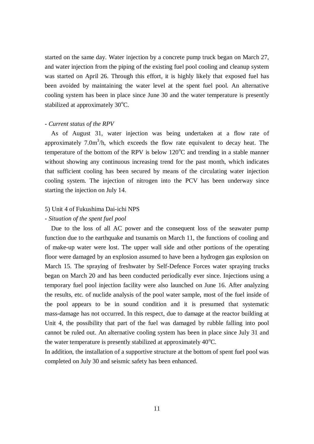started on the same day. Water injection by a concrete pump truck began on March 27, and water injection from the piping of the existing fuel pool cooling and cleanup system was started on April 26. Through this effort, it is highly likely that exposed fuel has been avoided by maintaining the water level at the spent fuel pool. An alternative cooling system has been in place since June 30 and the water temperature is presently stabilized at approximately  $30^{\circ}$ C.

#### - *Current status of the RPV*

As of August 31, water injection was being undertaken at a flow rate of approximately  $7.0 \text{m}^3/\text{h}$ , which exceeds the flow rate equivalent to decay heat. The temperature of the bottom of the RPV is below  $120^{\circ}$ C and trending in a stable manner without showing any continuous increasing trend for the past month, which indicates that sufficient cooling has been secured by means of the circulating water injection cooling system. The injection of nitrogen into the PCV has been underway since starting the injection on July 14.

#### 5) Unit 4 of Fukushima Dai-ichi NPS

#### - *Situation of the spent fuel pool*

Due to the loss of all AC power and the consequent loss of the seawater pump function due to the earthquake and tsunamis on March 11, the functions of cooling and of make-up water were lost. The upper wall side and other portions of the operating floor were damaged by an explosion assumed to have been a hydrogen gas explosion on March 15. The spraying of freshwater by Self-Defence Forces water spraying trucks began on March 20 and has been conducted periodically ever since. Injections using a temporary fuel pool injection facility were also launched on June 16. After analyzing the results, etc. of nuclide analysis of the pool water sample, most of the fuel inside of the pool appears to be in sound condition and it is presumed that systematic mass-damage has not occurred. In this respect, due to damage at the reactor building at Unit 4, the possibility that part of the fuel was damaged by rubble falling into pool cannot be ruled out. An alternative cooling system has been in place since July 31 and the water temperature is presently stabilized at approximately  $40^{\circ}$ C.

In addition, the installation of a supportive structure at the bottom of spent fuel pool was completed on July 30 and seismic safety has been enhanced.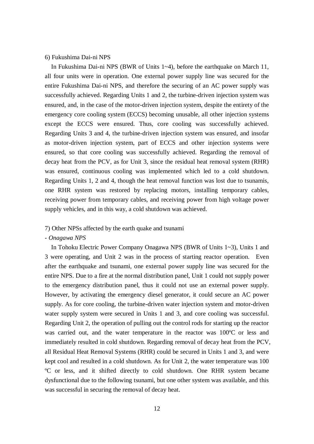# 6) Fukushima Dai-ni NPS

In Fukushima Dai-ni NPS (BWR of Units 1~4), before the earthquake on March 11, all four units were in operation. One external power supply line was secured for the entire Fukushima Dai-ni NPS, and therefore the securing of an AC power supply was successfully achieved. Regarding Units 1 and 2, the turbine-driven injection system was ensured, and, in the case of the motor-driven injection system, despite the entirety of the emergency core cooling system (ECCS) becoming unusable, all other injection systems except the ECCS were ensured. Thus, core cooling was successfully achieved. Regarding Units 3 and 4, the turbine-driven injection system was ensured, and insofar as motor-driven injection system, part of ECCS and other injection systems were ensured, so that core cooling was successfully achieved. Regarding the removal of decay heat from the PCV, as for Unit 3, since the residual heat removal system (RHR) was ensured, continuous cooling was implemented which led to a cold shutdown. Regarding Units 1, 2 and 4, though the heat removal function was lost due to tsunamis, one RHR system was restored by replacing motors, installing temporary cables, receiving power from temporary cables, and receiving power from high voltage power supply vehicles, and in this way, a cold shutdown was achieved.

# 7) Other NPSs affected by the earth quake and tsunami

#### - *Onagawa NPS*

In Tohoku Electric Power Company Onagawa NPS (BWR of Units 1~3), Units 1 and 3 were operating, and Unit 2 was in the process of starting reactor operation. Even after the earthquake and tsunami, one external power supply line was secured for the entire NPS. Due to a fire at the normal distribution panel, Unit 1 could not supply power to the emergency distribution panel, thus it could not use an external power supply. However, by activating the emergency diesel generator, it could secure an AC power supply. As for core cooling, the turbine-driven water injection system and motor-driven water supply system were secured in Units 1 and 3, and core cooling was successful. Regarding Unit 2, the operation of pulling out the control rods for starting up the reactor was carried out, and the water temperature in the reactor was 100ºC or less and immediately resulted in cold shutdown. Regarding removal of decay heat from the PCV, all Residual Heat Removal Systems (RHR) could be secured in Units 1 and 3, and were kept cool and resulted in a cold shutdown. As for Unit 2, the water temperature was 100 ºC or less, and it shifted directly to cold shutdown. One RHR system became dysfunctional due to the following tsunami, but one other system was available, and this was successful in securing the removal of decay heat.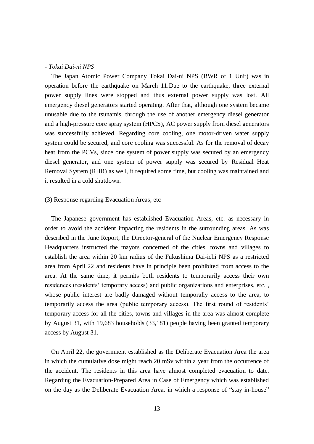#### - *Tokai Dai-ni NPS*

The Japan Atomic Power Company Tokai Dai-ni NPS (BWR of 1 Unit) was in operation before the earthquake on March 11.Due to the earthquake, three external power supply lines were stopped and thus external power supply was lost. All emergency diesel generators started operating. After that, although one system became unusable due to the tsunamis, through the use of another emergency diesel generator and a high-pressure core spray system (HPCS), AC power supply from diesel generators was successfully achieved. Regarding core cooling, one motor-driven water supply system could be secured, and core cooling was successful. As for the removal of decay heat from the PCVs, since one system of power supply was secured by an emergency diesel generator, and one system of power supply was secured by Residual Heat Removal System (RHR) as well, it required some time, but cooling was maintained and it resulted in a cold shutdown.

#### (3) Response regarding Evacuation Areas, etc

The Japanese government has established Evacuation Areas, etc. as necessary in order to avoid the accident impacting the residents in the surrounding areas. As was described in the June Report, the Director-general of the Nuclear Emergency Response Headquarters instructed the mayors concerned of the cities, towns and villages to establish the area within 20 km radius of the Fukushima Dai-ichi NPS as a restricted area from April 22 and residents have in principle been prohibited from access to the area. At the same time, it permits both residents to temporarily access their own residences (residents' temporary access) and public organizations and enterprises, etc. , whose public interest are badly damaged without temporally access to the area, to temporarily access the area (public temporary access). The first round of residents' temporary access for all the cities, towns and villages in the area was almost complete by August 31, with 19,683 households (33,181) people having been granted temporary access by August 31.

On April 22, the government established as the Deliberate Evacuation Area the area in which the cumulative dose might reach 20 mSv within a year from the occurrence of the accident. The residents in this area have almost completed evacuation to date. Regarding the Evacuation-Prepared Area in Case of Emergency which was established on the day as the Deliberate Evacuation Area, in which a response of "stay in-house"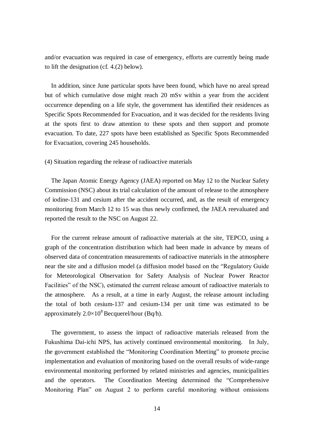and/or evacuation was required in case of emergency, efforts are currently being made to lift the designation (cf. 4.(2) below).

In addition, since June particular spots have been found, which have no areal spread but of which cumulative dose might reach 20 mSv within a year from the accident occurrence depending on a life style, the government has identified their residences as Specific Spots Recommended for Evacuation, and it was decided for the residents living at the spots first to draw attention to these spots and then support and promote evacuation. To date, 227 spots have been established as Specific Spots Recommended for Evacuation, covering 245 households.

#### (4) Situation regarding the release of radioactive materials

The Japan Atomic Energy Agency (JAEA) reported on May 12 to the Nuclear Safety Commission (NSC) about its trial calculation of the amount of release to the atmosphere of iodine-131 and cesium after the accident occurred, and, as the result of emergency monitoring from March 12 to 15 was thus newly confirmed, the JAEA reevaluated and reported the result to the NSC on August 22.

For the current release amount of radioactive materials at the site, TEPCO, using a graph of the concentration distribution which had been made in advance by means of observed data of concentration measurements of radioactive materials in the atmosphere near the site and a diffusion model (a diffusion model based on the "Regulatory Guide for Meteorological Observation for Safety Analysis of Nuclear Power Reactor Facilities" of the NSC), estimated the current release amount of radioactive materials to the atmosphere. As a result, at a time in early August, the release amount including the total of both cesium-137 and cesium-134 per unit time was estimated to be approximately  $2.0\times10^8$  Becquerel/hour (Bq/h).

The government, to assess the impact of radioactive materials released from the Fukushima Dai-ichi NPS, has actively continued environmental monitoring. In July, the government established the "Monitoring Coordination Meeting" to promote precise implementation and evaluation of monitoring based on the overall results of wide-range environmental monitoring performed by related ministries and agencies, municipalities and the operators. The Coordination Meeting determined the "Comprehensive Monitoring Plan" on August 2 to perform careful monitoring without omissions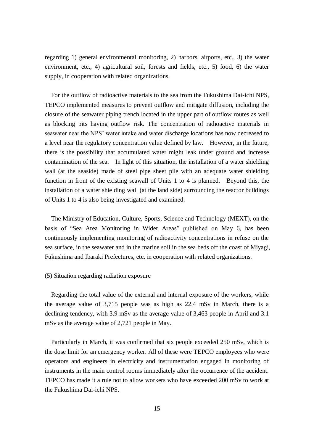regarding 1) general environmental monitoring, 2) harbors, airports, etc., 3) the water environment, etc., 4) agricultural soil, forests and fields, etc., 5) food, 6) the water supply, in cooperation with related organizations.

For the outflow of radioactive materials to the sea from the Fukushima Dai-ichi NPS, TEPCO implemented measures to prevent outflow and mitigate diffusion, including the closure of the seawater piping trench located in the upper part of outflow routes as well as blocking pits having outflow risk. The concentration of radioactive materials in seawater near the NPS' water intake and water discharge locations has now decreased to a level near the regulatory concentration value defined by law. However, in the future, there is the possibility that accumulated water might leak under ground and increase contamination of the sea. In light of this situation, the installation of a water shielding wall (at the seaside) made of steel pipe sheet pile with an adequate water shielding function in front of the existing seawall of Units 1 to 4 is planned. Beyond this, the installation of a water shielding wall (at the land side) surrounding the reactor buildings of Units 1 to 4 is also being investigated and examined.

The Ministry of Education, Culture, Sports, Science and Technology (MEXT), on the basis of "Sea Area Monitoring in Wider Areas" published on May 6, has been continuously implementing monitoring of radioactivity concentrations in refuse on the sea surface, in the seawater and in the marine soil in the sea beds off the coast of Miyagi, Fukushima and Ibaraki Prefectures, etc. in cooperation with related organizations.

# (5) Situation regarding radiation exposure

Regarding the total value of the external and internal exposure of the workers, while the average value of 3,715 people was as high as 22.4 mSv in March, there is a declining tendency, with 3.9 mSv as the average value of 3,463 people in April and 3.1 mSv as the average value of 2,721 people in May.

Particularly in March, it was confirmed that six people exceeded 250 mSv, which is the dose limit for an emergency worker. All of these were TEPCO employees who were operators and engineers in electricity and instrumentation engaged in monitoring of instruments in the main control rooms immediately after the occurrence of the accident. TEPCO has made it a rule not to allow workers who have exceeded 200 mSv to work at the Fukushima Dai-ichi NPS.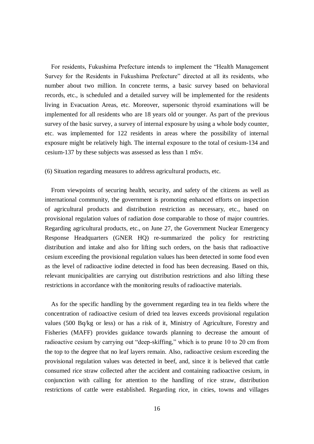For residents, Fukushima Prefecture intends to implement the "Health Management Survey for the Residents in Fukushima Prefecture" directed at all its residents, who number about two million. In concrete terms, a basic survey based on behavioral records, etc., is scheduled and a detailed survey will be implemented for the residents living in Evacuation Areas, etc. Moreover, supersonic thyroid examinations will be implemented for all residents who are 18 years old or younger. As part of the previous survey of the basic survey, a survey of internal exposure by using a whole body counter, etc. was implemented for 122 residents in areas where the possibility of internal exposure might be relatively high. The internal exposure to the total of cesium-134 and cesium-137 by these subjects was assessed as less than 1 mSv.

(6) Situation regarding measures to address agricultural products, etc.

From viewpoints of securing health, security, and safety of the citizens as well as international community, the government is promoting enhanced efforts on inspection of agricultural products and distribution restriction as necessary, etc., based on provisional regulation values of radiation dose comparable to those of major countries. Regarding agricultural products, etc., on June 27, the Government Nuclear Emergency Response Headquarters (GNER HQ) re-summarized the policy for restricting distribution and intake and also for lifting such orders, on the basis that radioactive cesium exceeding the provisional regulation values has been detected in some food even as the level of radioactive iodine detected in food has been decreasing. Based on this, relevant municipalities are carrying out distribution restrictions and also lifting these restrictions in accordance with the monitoring results of radioactive materials.

As for the specific handling by the government regarding tea in tea fields where the concentration of radioactive cesium of dried tea leaves exceeds provisional regulation values (500 Bq/kg or less) or has a risk of it, Ministry of Agriculture, Forestry and Fisheries (MAFF) provides guidance towards planning to decrease the amount of radioactive cesium by carrying out "deep-skiffing," which is to prune 10 to 20 cm from the top to the degree that no leaf layers remain. Also, radioactive cesium exceeding the provisional regulation values was detected in beef, and, since it is believed that cattle consumed rice straw collected after the accident and containing radioactive cesium, in conjunction with calling for attention to the handling of rice straw, distribution restrictions of cattle were established. Regarding rice, in cities, towns and villages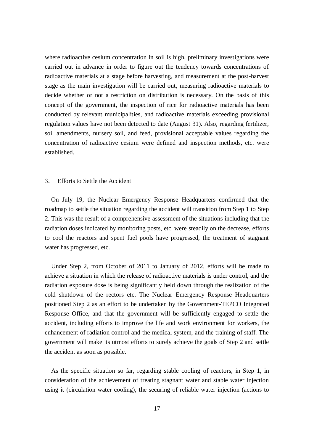where radioactive cesium concentration in soil is high, preliminary investigations were carried out in advance in order to figure out the tendency towards concentrations of radioactive materials at a stage before harvesting, and measurement at the post-harvest stage as the main investigation will be carried out, measuring radioactive materials to decide whether or not a restriction on distribution is necessary. On the basis of this concept of the government, the inspection of rice for radioactive materials has been conducted by relevant municipalities, and radioactive materials exceeding provisional regulation values have not been detected to date (August 31). Also, regarding fertilizer, soil amendments, nursery soil, and feed, provisional acceptable values regarding the concentration of radioactive cesium were defined and inspection methods, etc. were established.

#### 3. Efforts to Settle the Accident

On July 19, the Nuclear Emergency Response Headquarters confirmed that the roadmap to settle the situation regarding the accident will transition from Step 1 to Step 2. This was the result of a comprehensive assessment of the situations including that the radiation doses indicated by monitoring posts, etc. were steadily on the decrease, efforts to cool the reactors and spent fuel pools have progressed, the treatment of stagnant water has progressed, etc.

Under Step 2, from October of 2011 to January of 2012, efforts will be made to achieve a situation in which the release of radioactive materials is under control, and the radiation exposure dose is being significantly held down through the realization of the cold shutdown of the rectors etc. The Nuclear Emergency Response Headquarters positioned Step 2 as an effort to be undertaken by the Government-TEPCO Integrated Response Office, and that the government will be sufficiently engaged to settle the accident, including efforts to improve the life and work environment for workers, the enhancement of radiation control and the medical system, and the training of staff. The government will make its utmost efforts to surely achieve the goals of Step 2 and settle the accident as soon as possible.

As the specific situation so far, regarding stable cooling of reactors, in Step 1, in consideration of the achievement of treating stagnant water and stable water injection using it (circulation water cooling), the securing of reliable water injection (actions to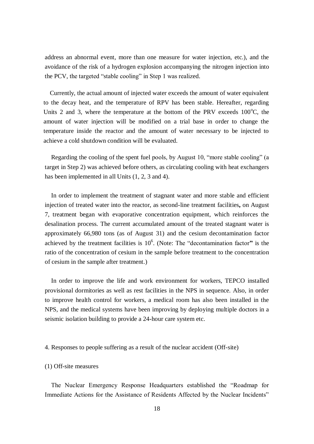address an abnormal event, more than one measure for water injection, etc.), and the avoidance of the risk of a hydrogen explosion accompanying the nitrogen injection into the PCV, the targeted "stable cooling" in Step 1 was realized.

Currently, the actual amount of injected water exceeds the amount of water equivalent to the decay heat, and the temperature of RPV has been stable. Hereafter, regarding Units 2 and 3, where the temperature at the bottom of the PRV exceeds  $100^{\circ}$ C, the amount of water injection will be modified on a trial base in order to change the temperature inside the reactor and the amount of water necessary to be injected to achieve a cold shutdown condition will be evaluated.

Regarding the cooling of the spent fuel pools, by August 10, "more stable cooling" (a target in Step 2) was achieved before others, as circulating cooling with heat exchangers has been implemented in all Units  $(1, 2, 3 \text{ and } 4)$ .

In order to implement the treatment of stagnant water and more stable and efficient injection of treated water into the reactor, as second-line treatment facilities**,** on August 7, treatment began with evaporative concentration equipment, which reinforces the desalination process. The current accumulated amount of the treated stagnant water is approximately 66,980 tons (as of August 31) and the cesium decontamination factor achieved by the treatment facilities is  $10<sup>6</sup>$ . (Note: The "decontamination factor" is the ratio of the concentration of cesium in the sample before treatment to the concentration of cesium in the sample after treatment.)

In order to improve the life and work environment for workers, TEPCO installed provisional dormitories as well as rest facilities in the NPS in sequence. Also, in order to improve health control for workers, a medical room has also been installed in the NPS, and the medical systems have been improving by deploying multiple doctors in a seismic isolation building to provide a 24-hour care system etc.

#### 4. Responses to people suffering as a result of the nuclear accident (Off-site)

#### (1) Off-site measures

The Nuclear Emergency Response Headquarters established the "Roadmap for Immediate Actions for the Assistance of Residents Affected by the Nuclear Incidents"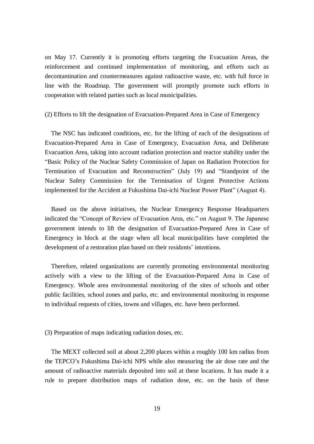on May 17. Currently it is promoting efforts targeting the Evacuation Areas, the reinforcement and continued implementation of monitoring, and efforts such as decontamination and countermeasures against radioactive waste, etc. with full force in line with the Roadmap. The government will promptly promote such efforts in cooperation with related parties such as local municipalities.

(2) Efforts to lift the designation of Evacuation-Prepared Area in Case of Emergency

The NSC has indicated conditions, etc. for the lifting of each of the designations of Evacuation-Prepared Area in Case of Emergency, Evacuation Area, and Deliberate Evacuation Area, taking into account radiation protection and reactor stability under the "Basic Policy of the Nuclear Safety Commission of Japan on Radiation Protection for Termination of Evacuation and Reconstruction" (July 19) and "Standpoint of the Nuclear Safety Commission for the Termination of Urgent Protective Actions implemented for the Accident at Fukushima Dai-ichi Nuclear Power Plant" (August 4).

Based on the above initiatives, the Nuclear Emergency Response Headquarters indicated the "Concept of Review of Evacuation Area, etc." on August 9. The Japanese government intends to lift the designation of Evacuation-Prepared Area in Case of Emergency in block at the stage when all local municipalities have completed the development of a restoration plan based on their residents' intentions.

Therefore, related organizations are currently promoting environmental monitoring actively with a view to the lifting of the Evacuation-Prepared Area in Case of Emergency. Whole area environmental monitoring of the sites of schools and other public facilities, school zones and parks, etc. and environmental monitoring in response to individual requests of cities, towns and villages, etc. have been performed.

(3) Preparation of maps indicating radiation doses, etc.

The MEXT collected soil at about 2,200 places within a roughly 100 km radius from the TEPCO's Fukushima Dai-ichi NPS while also measuring the air dose rate and the amount of radioactive materials deposited into soil at these locations. It has made it a rule to prepare distribution maps of radiation dose, etc. on the basis of these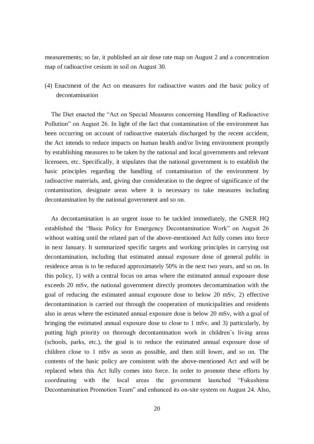measurements; so far, it published an air dose rate map on August 2 and a concentration map of radioactive cesium in soil on August 30.

(4) Enactment of the Act on measures for radioactive wastes and the basic policy of decontamination

The Diet enacted the "Act on Special Measures concerning Handling of Radioactive Pollution" on August 26. In light of the fact that contamination of the environment has been occurring on account of radioactive materials discharged by the recent accident, the Act intends to reduce impacts on human health and/or living environment promptly by establishing measures to be taken by the national and local governments and relevant licensees, etc. Specifically, it stipulates that the national government is to establish the basic principles regarding the handling of contamination of the environment by radioactive materials, and, giving due consideration to the degree of significance of the contamination, designate areas where it is necessary to take measures including decontamination by the national government and so on.

As decontamination is an urgent issue to be tackled immediately, the GNER HQ established the "Basic Policy for Emergency Decontamination Work" on August 26 without waiting until the related part of the above-mentioned Act fully comes into force in next January. It summarized specific targets and working principles in carrying out decontamination, including that estimated annual exposure dose of general public in residence areas is to be reduced approximately 50% in the next two years, and so on. In this policy, 1) with a central focus on areas where the estimated annual exposure dose exceeds 20 mSv, the national government directly promotes decontamination with the goal of reducing the estimated annual exposure dose to below 20 mSv, 2) effective decontamination is carried out through the cooperation of municipalities and residents also in areas where the estimated annual exposure dose is below 20 mSv, with a goal of bringing the estimated annual exposure dose to close to 1 mSv, and 3) particularly, by putting high priority on thorough decontamination work in children's living areas (schools, parks, etc.), the goal is to reduce the estimated annual exposure dose of children close to 1 mSv as soon as possible, and then still lower, and so on. The contents of the basic policy are consistent with the above-mentioned Act and will be replaced when this Act fully comes into force. In order to promote these efforts by coordinating with the local areas the government launched "Fukushima Decontamination Promotion Team" and enhanced its on-site system on August 24. Also,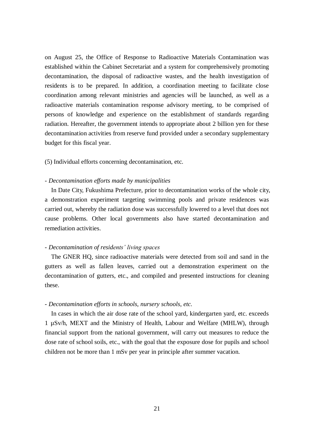on August 25, the Office of Response to Radioactive Materials Contamination was established within the Cabinet Secretariat and a system for comprehensively promoting decontamination, the disposal of radioactive wastes, and the health investigation of residents is to be prepared. In addition, a coordination meeting to facilitate close coordination among relevant ministries and agencies will be launched, as well as a radioactive materials contamination response advisory meeting, to be comprised of persons of knowledge and experience on the establishment of standards regarding radiation. Hereafter, the government intends to appropriate about 2 billion yen for these decontamination activities from reserve fund provided under a secondary supplementary budget for this fiscal year.

(5) Individual efforts concerning decontamination, etc.

#### - *Decontamination efforts made by municipalities*

In Date City, Fukushima Prefecture, prior to decontamination works of the whole city, a demonstration experiment targeting swimming pools and private residences was carried out, whereby the radiation dose was successfully lowered to a level that does not cause problems. Other local governments also have started decontamination and remediation activities.

#### *- Decontamination of residents' living spaces*

The GNER HQ, since radioactive materials were detected from soil and sand in the gutters as well as fallen leaves, carried out a demonstration experiment on the decontamination of gutters, etc., and compiled and presented instructions for cleaning these.

#### *- Decontamination efforts in schools, nursery schools, etc.*

In cases in which the air dose rate of the school yard, kindergarten yard, etc. exceeds 1 µSv/h, MEXT and the Ministry of Health, Labour and Welfare (MHLW), through financial support from the national government, will carry out measures to reduce the dose rate of school soils, etc., with the goal that the exposure dose for pupils and school children not be more than 1 mSv per year in principle after summer vacation.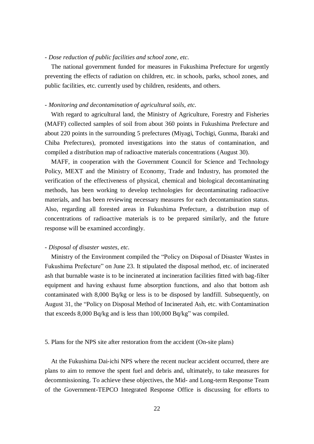# *- Dose reduction of public facilities and school zone, etc.*

The national government funded for measures in Fukushima Prefecture for urgently preventing the effects of radiation on children, etc. in schools, parks, school zones, and public facilities, etc. currently used by children, residents, and others.

#### *- Monitoring and decontamination of agricultural soils, etc.*

With regard to agricultural land, the Ministry of Agriculture, Forestry and Fisheries (MAFF) collected samples of soil from about 360 points in Fukushima Prefecture and about 220 points in the surrounding 5 prefectures (Miyagi, Tochigi, Gunma, Ibaraki and Chiba Prefectures), promoted investigations into the status of contamination, and compiled a distribution map of radioactive materials concentrations (August 30).

MAFF, in cooperation with the Government Council for Science and Technology Policy, MEXT and the Ministry of Economy, Trade and Industry, has promoted the verification of the effectiveness of physical, chemical and biological decontaminating methods, has been working to develop technologies for decontaminating radioactive materials, and has been reviewing necessary measures for each decontamination status. Also, regarding all forested areas in Fukushima Prefecture, a distribution map of concentrations of radioactive materials is to be prepared similarly, and the future response will be examined accordingly.

# - *Disposal of disaster wastes, etc.*

Ministry of the Environment compiled the "Policy on Disposal of Disaster Wastes in Fukushima Prefecture" on June 23. It stipulated the disposal method, etc. of incinerated ash that burnable waste is to be incinerated at incineration facilities fitted with bag-filter equipment and having exhaust fume absorption functions, and also that bottom ash contaminated with 8,000 Bq/kg or less is to be disposed by landfill. Subsequently, on August 31, the "Policy on Disposal Method of Incinerated Ash, etc. with Contamination that exceeds 8,000 Bq/kg and is less than 100,000 Bq/kg" was compiled.

#### 5. Plans for the NPS site after restoration from the accident (On-site plans)

At the Fukushima Dai-ichi NPS where the recent nuclear accident occurred, there are plans to aim to remove the spent fuel and debris and, ultimately, to take measures for decommissioning. To achieve these objectives, the Mid- and Long-term Response Team of the Government-TEPCO Integrated Response Office is discussing for efforts to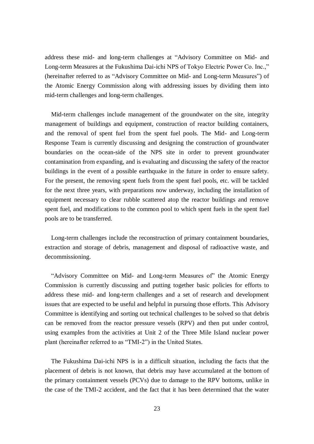address these mid- and long-term challenges at "Advisory Committee on Mid- and Long-term Measures at the Fukushima Dai-ichi NPS of Tokyo Electric Power Co. Inc.," (hereinafter referred to as "Advisory Committee on Mid- and Long-term Measures") of the Atomic Energy Commission along with addressing issues by dividing them into mid-term challenges and long-term challenges.

Mid-term challenges include management of the groundwater on the site, integrity management of buildings and equipment, construction of reactor building containers, and the removal of spent fuel from the spent fuel pools. The Mid- and Long-term Response Team is currently discussing and designing the construction of groundwater boundaries on the ocean-side of the NPS site in order to prevent groundwater contamination from expanding, and is evaluating and discussing the safety of the reactor buildings in the event of a possible earthquake in the future in order to ensure safety. For the present, the removing spent fuels from the spent fuel pools, etc. will be tackled for the next three years, with preparations now underway, including the installation of equipment necessary to clear rubble scattered atop the reactor buildings and remove spent fuel, and modifications to the common pool to which spent fuels in the spent fuel pools are to be transferred.

Long-term challenges include the reconstruction of primary containment boundaries, extraction and storage of debris, management and disposal of radioactive waste, and decommissioning.

"Advisory Committee on Mid- and Long-term Measures of" the Atomic Energy Commission is currently discussing and putting together basic policies for efforts to address these mid- and long-term challenges and a set of research and development issues that are expected to be useful and helpful in pursuing those efforts. This Advisory Committee is identifying and sorting out technical challenges to be solved so that debris can be removed from the reactor pressure vessels (RPV) and then put under control, using examples from the activities at Unit 2 of the Three Mile Island nuclear power plant (hereinafter referred to as "TMI-2") in the United States.

The Fukushima Dai-ichi NPS is in a difficult situation, including the facts that the placement of debris is not known, that debris may have accumulated at the bottom of the primary containment vessels (PCVs) due to damage to the RPV bottoms, unlike in the case of the TMI-2 accident, and the fact that it has been determined that the water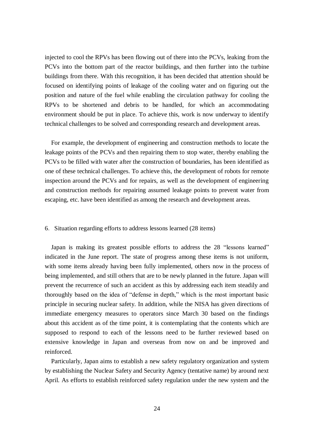injected to cool the RPVs has been flowing out of there into the PCVs, leaking from the PCVs into the bottom part of the reactor buildings, and then further into the turbine buildings from there. With this recognition, it has been decided that attention should be focused on identifying points of leakage of the cooling water and on figuring out the position and nature of the fuel while enabling the circulation pathway for cooling the RPVs to be shortened and debris to be handled, for which an accommodating environment should be put in place. To achieve this, work is now underway to identify technical challenges to be solved and corresponding research and development areas.

For example, the development of engineering and construction methods to locate the leakage points of the PCVs and then repairing them to stop water, thereby enabling the PCVs to be filled with water after the construction of boundaries, has been identified as one of these technical challenges. To achieve this, the development of robots for remote inspection around the PCVs and for repairs, as well as the development of engineering and construction methods for repairing assumed leakage points to prevent water from escaping, etc. have been identified as among the research and development areas.

# 6.Situation regarding efforts to address lessons learned (28 items)

Japan is making its greatest possible efforts to address the 28 "lessons learned" indicated in the June report. The state of progress among these items is not uniform, with some items already having been fully implemented, others now in the process of being implemented, and still others that are to be newly planned in the future. Japan will prevent the recurrence of such an accident as this by addressing each item steadily and thoroughly based on the idea of "defense in depth," which is the most important basic principle in securing nuclear safety. In addition, while the NISA has given directions of immediate emergency measures to operators since March 30 based on the findings about this accident as of the time point, it is contemplating that the contents which are supposed to respond to each of the lessons need to be further reviewed based on extensive knowledge in Japan and overseas from now on and be improved and reinforced.

Particularly, Japan aims to establish a new safety regulatory organization and system by establishing the Nuclear Safety and Security Agency (tentative name) by around next April. As efforts to establish reinforced safety regulation under the new system and the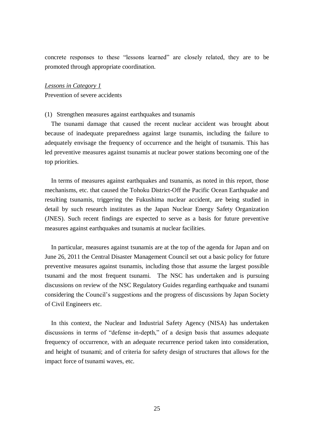concrete responses to these "lessons learned" are closely related, they are to be promoted through appropriate coordination.

#### *Lessons in Category 1*

Prevention of severe accidents

#### (1) Strengthen measures against earthquakes and tsunamis

The tsunami damage that caused the recent nuclear accident was brought about because of inadequate preparedness against large tsunamis, including the failure to adequately envisage the frequency of occurrence and the height of tsunamis. This has led preventive measures against tsunamis at nuclear power stations becoming one of the top priorities.

In terms of measures against earthquakes and tsunamis, as noted in this report, those mechanisms, etc. that caused the Tohoku District-Off the Pacific Ocean Earthquake and resulting tsunamis, triggering the Fukushima nuclear accident, are being studied in detail by such research institutes as the Japan Nuclear Energy Safety Organization (JNES). Such recent findings are expected to serve as a basis for future preventive measures against earthquakes and tsunamis at nuclear facilities.

In particular, measures against tsunamis are at the top of the agenda for Japan and on June 26, 2011 the Central Disaster Management Council set out a basic policy for future preventive measures against tsunamis, including those that assume the largest possible tsunami and the most frequent tsunami. The NSC has undertaken and is pursuing discussions on review of the NSC Regulatory Guides regarding earthquake and tsunami considering the Council's suggestions and the progress of discussions by Japan Society of Civil Engineers etc.

In this context, the Nuclear and Industrial Safety Agency (NISA) has undertaken discussions in terms of "defense in-depth," of a design basis that assumes adequate frequency of occurrence, with an adequate recurrence period taken into consideration, and height of tsunami; and of criteria for safety design of structures that allows for the impact force of tsunami waves, etc.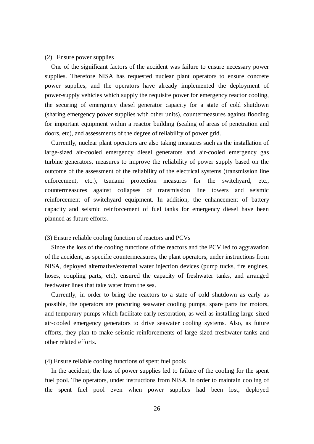#### (2) Ensure power supplies

One of the significant factors of the accident was failure to ensure necessary power supplies. Therefore NISA has requested nuclear plant operators to ensure concrete power supplies, and the operators have already implemented the deployment of power-supply vehicles which supply the requisite power for emergency reactor cooling, the securing of emergency diesel generator capacity for a state of cold shutdown (sharing emergency power supplies with other units), countermeasures against flooding for important equipment within a reactor building (sealing of areas of penetration and doors, etc), and assessments of the degree of reliability of power grid.

Currently, nuclear plant operators are also taking measures such as the installation of large-sized air-cooled emergency diesel generators and air-cooled emergency gas turbine generators, measures to improve the reliability of power supply based on the outcome of the assessment of the reliability of the electrical systems (transmission line enforcement, etc.), tsunami protection measures for the switchyard, etc., countermeasures against collapses of transmission line towers and seismic reinforcement of switchyard equipment. In addition, the enhancement of battery capacity and seismic reinforcement of fuel tanks for emergency diesel have been planned as future efforts.

#### (3) Ensure reliable cooling function of reactors and PCVs

Since the loss of the cooling functions of the reactors and the PCV led to aggravation of the accident, as specific countermeasures, the plant operators, under instructions from NISA, deployed alternative/external water injection devices (pump tucks, fire engines, hoses, coupling parts, etc), ensured the capacity of freshwater tanks, and arranged feedwater lines that take water from the sea.

Currently, in order to bring the reactors to a state of cold shutdown as early as possible, the operators are procuring seawater cooling pumps, spare parts for motors, and temporary pumps which facilitate early restoration, as well as installing large-sized air-cooled emergency generators to drive seawater cooling systems. Also, as future efforts, they plan to make seismic reinforcements of large-sized freshwater tanks and other related efforts.

# (4) Ensure reliable cooling functions of spent fuel pools

In the accident, the loss of power supplies led to failure of the cooling for the spent fuel pool. The operators, under instructions from NISA, in order to maintain cooling of the spent fuel pool even when power supplies had been lost, deployed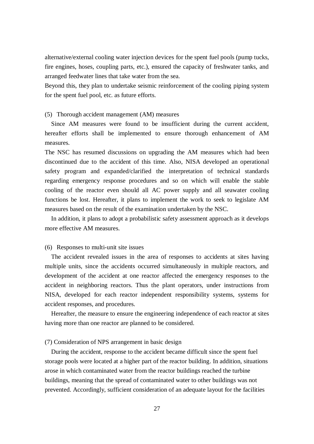alternative/external cooling water injection devices for the spent fuel pools (pump tucks, fire engines, hoses, coupling parts, etc.), ensured the capacity of freshwater tanks, and arranged feedwater lines that take water from the sea.

Beyond this, they plan to undertake seismic reinforcement of the cooling piping system for the spent fuel pool, etc. as future efforts.

(5) Thorough accident management (AM) measures

Since AM measures were found to be insufficient during the current accident, hereafter efforts shall be implemented to ensure thorough enhancement of AM measures.

The NSC has resumed discussions on upgrading the AM measures which had been discontinued due to the accident of this time. Also, NISA developed an operational safety program and expanded/clarified the interpretation of technical standards regarding emergency response procedures and so on which will enable the stable cooling of the reactor even should all AC power supply and all seawater cooling functions be lost. Hereafter, it plans to implement the work to seek to legislate AM measures based on the result of the examination undertaken by the NSC.

In addition, it plans to adopt a probabilistic safety assessment approach as it develops more effective AM measures.

#### (6) Responses to multi-unit site issues

The accident revealed issues in the area of responses to accidents at sites having multiple units, since the accidents occurred simultaneously in multiple reactors, and development of the accident at one reactor affected the emergency responses to the accident in neighboring reactors. Thus the plant operators, under instructions from NISA, developed for each reactor independent responsibility systems, systems for accident responses, and procedures.

Hereafter, the measure to ensure the engineering independence of each reactor at sites having more than one reactor are planned to be considered.

#### (7) Consideration of NPS arrangement in basic design

During the accident, response to the accident became difficult since the spent fuel storage pools were located at a higher part of the reactor building. In addition, situations arose in which contaminated water from the reactor buildings reached the turbine buildings, meaning that the spread of contaminated water to other buildings was not prevented. Accordingly, sufficient consideration of an adequate layout for the facilities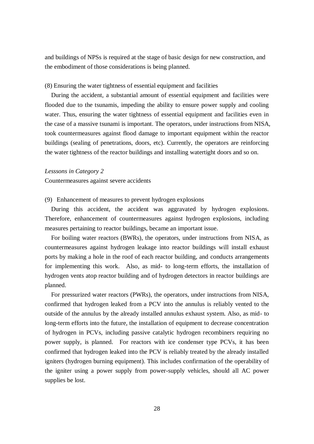and buildings of NPSs is required at the stage of basic design for new construction, and the embodiment of those considerations is being planned.

#### (8) Ensuring the water tightness of essential equipment and facilities

During the accident, a substantial amount of essential equipment and facilities were flooded due to the tsunamis, impeding the ability to ensure power supply and cooling water. Thus, ensuring the water tightness of essential equipment and facilities even in the case of a massive tsunami is important. The operators, under instructions from NISA, took countermeasures against flood damage to important equipment within the reactor buildings (sealing of penetrations, doors, etc). Currently, the operators are reinforcing the water tightness of the reactor buildings and installing watertight doors and so on.

# *Lesssons in Category 2*

Countermeasures against severe accidents

#### (9) Enhancement of measures to prevent hydrogen explosions

During this accident, the accident was aggravated by hydrogen explosions. Therefore, enhancement of countermeasures against hydrogen explosions, including measures pertaining to reactor buildings, became an important issue.

For boiling water reactors (BWRs), the operators, under instructions from NISA, as countermeasures against hydrogen leakage into reactor buildings will install exhaust ports by making a hole in the roof of each reactor building, and conducts arrangements for implementing this work. Also, as mid- to long-term efforts, the installation of hydrogen vents atop reactor building and of hydrogen detectors in reactor buildings are planned.

For pressurized water reactors (PWRs), the operators, under instructions from NISA, confirmed that hydrogen leaked from a PCV into the annulus is reliably vented to the outside of the annulus by the already installed annulus exhaust system. Also, as mid- to long-term efforts into the future, the installation of equipment to decrease concentration of hydrogen in PCVs, including passive catalytic hydrogen recombiners requiring no power supply, is planned. For reactors with ice condenser type PCVs, it has been confirmed that hydrogen leaked into the PCV is reliably treated by the already installed igniters (hydrogen burning equipment). This includes confirmation of the operability of the igniter using a power supply from power-supply vehicles, should all AC power supplies be lost.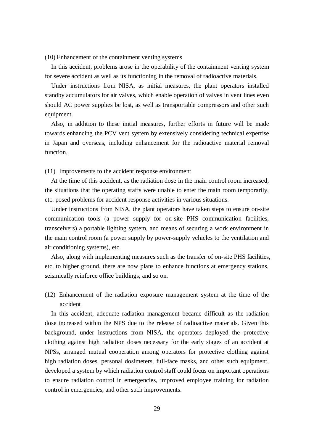(10) Enhancement of the containment venting systems

In this accident, problems arose in the operability of the containment venting system for severe accident as well as its functioning in the removal of radioactive materials.

Under instructions from NISA, as initial measures, the plant operators installed standby accumulators for air valves, which enable operation of valves in vent lines even should AC power supplies be lost, as well as transportable compressors and other such equipment.

Also, in addition to these initial measures, further efforts in future will be made towards enhancing the PCV vent system by extensively considering technical expertise in Japan and overseas, including enhancement for the radioactive material removal function.

(11) Improvements to the accident response environment

At the time of this accident, as the radiation dose in the main control room increased, the situations that the operating staffs were unable to enter the main room temporarily, etc. posed problems for accident response activities in various situations.

Under instructions from NISA, the plant operators have taken steps to ensure on-site communication tools (a power supply for on-site PHS communication facilities, transceivers) a portable lighting system, and means of securing a work environment in the main control room (a power supply by power-supply vehicles to the ventilation and air conditioning systems), etc.

Also, along with implementing measures such as the transfer of on-site PHS facilities, etc. to higher ground, there are now plans to enhance functions at emergency stations, seismically reinforce office buildings, and so on.

(12) Enhancement of the radiation exposure management system at the time of the accident

In this accident, adequate radiation management became difficult as the radiation dose increased within the NPS due to the release of radioactive materials. Given this background, under instructions from NISA, the operators deployed the protective clothing against high radiation doses necessary for the early stages of an accident at NPSs, arranged mutual cooperation among operators for protective clothing against high radiation doses, personal dosimeters, full-face masks, and other such equipment, developed a system by which radiation control staff could focus on important operations to ensure radiation control in emergencies, improved employee training for radiation control in emergencies, and other such improvements.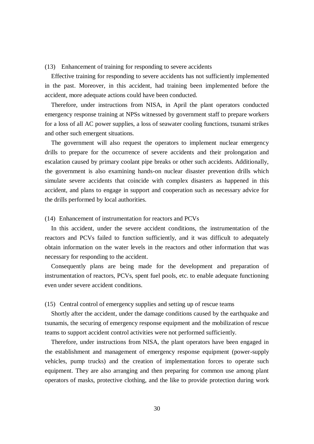#### (13) Enhancement of training for responding to severe accidents

Effective training for responding to severe accidents has not sufficiently implemented in the past. Moreover, in this accident, had training been implemented before the accident, more adequate actions could have been conducted.

Therefore, under instructions from NISA, in April the plant operators conducted emergency response training at NPSs witnessed by government staff to prepare workers for a loss of all AC power supplies, a loss of seawater cooling functions, tsunami strikes and other such emergent situations.

The government will also request the operators to implement nuclear emergency drills to prepare for the occurrence of severe accidents and their prolongation and escalation caused by primary coolant pipe breaks or other such accidents. Additionally, the government is also examining hands-on nuclear disaster prevention drills which simulate severe accidents that coincide with complex disasters as happened in this accident, and plans to engage in support and cooperation such as necessary advice for the drills performed by local authorities.

## (14) Enhancement of instrumentation for reactors and PCVs

In this accident, under the severe accident conditions, the instrumentation of the reactors and PCVs failed to function sufficiently, and it was difficult to adequately obtain information on the water levels in the reactors and other information that was necessary for responding to the accident.

Consequently plans are being made for the development and preparation of instrumentation of reactors, PCVs, spent fuel pools, etc. to enable adequate functioning even under severe accident conditions.

# (15) Central control of emergency supplies and setting up of rescue teams

Shortly after the accident, under the damage conditions caused by the earthquake and tsunamis, the securing of emergency response equipment and the mobilization of rescue teams to support accident control activities were not performed sufficiently.

Therefore, under instructions from NISA, the plant operators have been engaged in the establishment and management of emergency response equipment (power-supply vehicles, pump trucks) and the creation of implementation forces to operate such equipment. They are also arranging and then preparing for common use among plant operators of masks, protective clothing, and the like to provide protection during work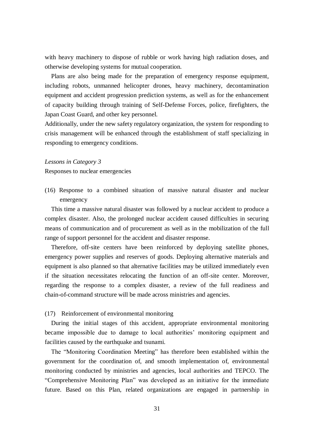with heavy machinery to dispose of rubble or work having high radiation doses, and otherwise developing systems for mutual cooperation.

Plans are also being made for the preparation of emergency response equipment, including robots, unmanned helicopter drones, heavy machinery, decontamination equipment and accident progression prediction systems, as well as for the enhancement of capacity building through training of Self-Defense Forces, police, firefighters, the Japan Coast Guard, and other key personnel.

Additionally, under the new safety regulatory organization, the system for responding to crisis management will be enhanced through the establishment of staff specializing in responding to emergency conditions.

#### *Lessons in Category 3*

Responses to nuclear emergencies

(16) Response to a combined situation of massive natural disaster and nuclear emergency

This time a massive natural disaster was followed by a nuclear accident to produce a complex disaster. Also, the prolonged nuclear accident caused difficulties in securing means of communication and of procurement as well as in the mobilization of the full range of support personnel for the accident and disaster response.

Therefore, off-site centers have been reinforced by deploying satellite phones, emergency power supplies and reserves of goods. Deploying alternative materials and equipment is also planned so that alternative facilities may be utilized immediately even if the situation necessitates relocating the function of an off-site center. Moreover, regarding the response to a complex disaster, a review of the full readiness and chain-of-command structure will be made across ministries and agencies.

# (17) Reinforcement of environmental monitoring

During the initial stages of this accident, appropriate environmental monitoring became impossible due to damage to local authorities' monitoring equipment and facilities caused by the earthquake and tsunami.

The "Monitoring Coordination Meeting" has therefore been established within the government for the coordination of, and smooth implementation of, environmental monitoring conducted by ministries and agencies, local authorities and TEPCO. The "Comprehensive Monitoring Plan" was developed as an initiative for the immediate future. Based on this Plan, related organizations are engaged in partnership in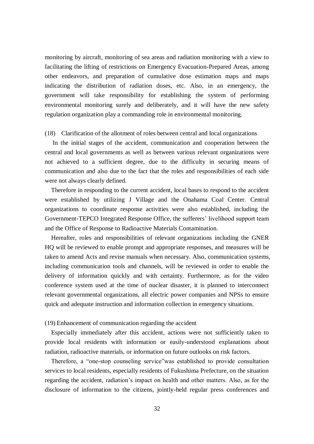monitoring by aircraft, monitoring of sea areas and radiation monitoring with a view to facilitating the lifting of restrictions on Emergency Evacuation-Prepared Areas, among other endeavors, and preparation of cumulative dose estimation maps and maps indicating the distribution of radiation doses, etc. Also, in an emergency, the government will take responsibility for establishing the system of performing environmental monitoring surely and deliberately, and it will have the new safety regulation organization play a commanding role in environmental monitoring.

#### (18) Clarification of the allotment of roles between central and local organizations

In the initial stages of the accident, communication and cooperation between the central and local governments as well as between various relevant organizations were not achieved to a sufficient degree, due to the difficulty in securing means of communication and also due to the fact that the roles and responsibilities of each side were not always clearly defined.

Therefore in responding to the current accident, local bases to respond to the accident were established by utilizing J Village and the Onahama Coal Center. Central organizations to coordinate response activities were also established, including the Government-TEPCO Integrated Response Office, the sufferers' livelihood support team and the Office of Response to Radioactive Materials Contamination.

Hereafter, roles and responsibilities of relevant organizations including the GNER HQ will be reviewed to enable prompt and appropriate responses, and measures will be taken to amend Acts and revise manuals when necessary. Also, communication systems, including communication tools and channels, will be reviewed in order to enable the delivery of information quickly and with certainty. Furthermore, as for the video conference system used at the time of nuclear disaster, it is planned to interconnect relevant governmental organizations, all electric power companies and NPSs to ensure quick and adequate instruction and information collection in emergency situations.

# (19) Enhancement of communication regarding the accident

Especially immediately after this accident, actions were not sufficiently taken to provide local residents with information or easily-understood explanations about radiation, radioactive materials, or information on future outlooks on risk factors.

Therefore, a "one-stop counseling service"was established to provide consultation services to local residents, especially residents of Fukushima Prefecture, on the situation regarding the accident, radiation's impact on health and other matters. Also, as for the disclosure of information to the citizens, jointly-held regular press conferences and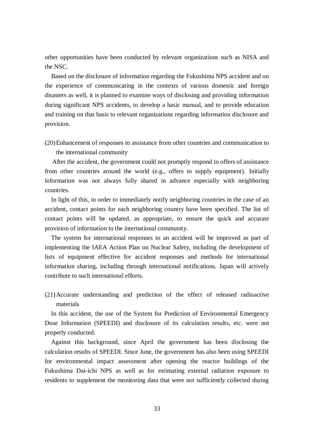other opportunities have been conducted by relevant organizations such as NISA and the NSC.

Based on the disclosure of information regarding the Fukushima NPS accident and on the experience of communicating in the contexts of various domestic and foreign disasters as well, it is planned to examine ways of disclosing and providing information during significant NPS accidents, to develop a basic manual, and to provide education and training on that basis to relevant organizations regarding information disclosure and provision.

(20)Enhancement of responses to assistance from other countries and communication to the international community

After the accident, the government could not promptly respond to offers of assistance from other countries around the world (e.g., offers to supply equipment). Initially information was not always fully shared in advance especially with neighboring countries.

In light of this, in order to immediately notify neighboring countries in the case of an accident, contact points for each neighboring country have been specified. The list of contact points will be updated, as appropriate, to ensure the quick and accurate provision of information to the international community.

The system for international responses to an accident will be improved as part of implementing the IAEA Action Plan on Nuclear Safety, including the development of lists of equipment effective for accident responses and methods for international information sharing, including through international notifications. Japan will actively contribute to such international efforts.

(21)Accurate understanding and prediction of the effect of released radioactive materials

In this accident, the use of the System for Prediction of Environmental Emergency Dose Information (SPEEDI) and disclosure of its calculation results, etc. were not properly conducted.

Against this background, since April the government has been disclosing the calculation results of SPEEDI. Since June, the government has also been using SPEEDI for environmental impact assessment after opening the reactor buildings of the Fukushima Dai-ichi NPS as well as for estimating external radiation exposure to residents to supplement the monitoring data that were not sufficiently collected during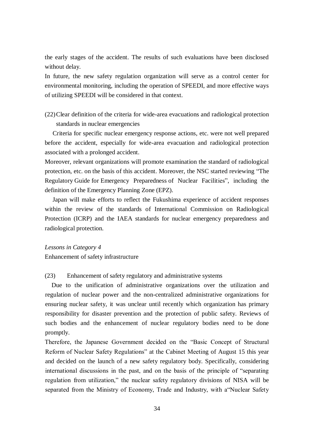the early stages of the accident. The results of such evaluations have been disclosed without delay.

In future, the new safety regulation organization will serve as a control center for environmental monitoring, including the operation of SPEEDI, and more effective ways of utilizing SPEEDI will be considered in that context.

(22)Clear definition of the criteria for wide-area evacuations and radiological protection standards in nuclear emergencies

Criteria for specific nuclear emergency response actions, etc. were not well prepared before the accident, especially for wide-area evacuation and radiological protection associated with a prolonged accident.

Moreover, relevant organizations will promote examination the standard of radiological protection, etc. on the basis of this accident. Moreover, the NSC started reviewing "The Regulatory Guide for Emergency Preparedness of Nuclear Facilities", including the definition of the Emergency Planning Zone (EPZ).

Japan will make efforts to reflect the Fukushima experience of accident responses within the review of the standards of International Commission on Radiological Protection (ICRP) and the IAEA standards for nuclear emergency preparedness and radiological protection.

#### *Lessons in Category 4*

Enhancement of safety infrastructure

(23) Enhancement of safety regulatory and administrative systems

Due to the unification of administrative organizations over the utilization and regulation of nuclear power and the non-centralized administrative organizations for ensuring nuclear safety, it was unclear until recently which organization has primary responsibility for disaster prevention and the protection of public safety. Reviews of such bodies and the enhancement of nuclear regulatory bodies need to be done promptly.

Therefore, the Japanese Government decided on the "Basic Concept of Structural Reform of Nuclear Safety Regulations" at the Cabinet Meeting of August 15 this year and decided on the launch of a new safety regulatory body. Specifically, considering international discussions in the past, and on the basis of the principle of "separating regulation from utilization," the nuclear safety regulatory divisions of NISA will be separated from the Ministry of Economy, Trade and Industry, with a"Nuclear Safety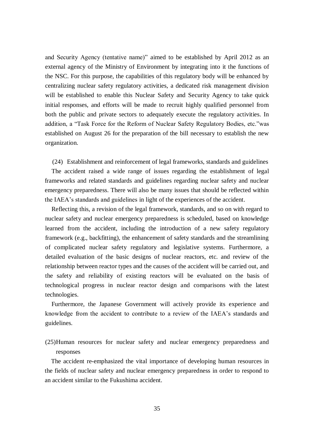and Security Agency (tentative name)" aimed to be established by April 2012 as an external agency of the Ministry of Environment by integrating into it the functions of the NSC. For this purpose, the capabilities of this regulatory body will be enhanced by centralizing nuclear safety regulatory activities, a dedicated risk management division will be established to enable this Nuclear Safety and Security Agency to take quick initial responses, and efforts will be made to recruit highly qualified personnel from both the public and private sectors to adequately execute the regulatory activities. In addition, a "Task Force for the Reform of Nuclear Safety Regulatory Bodies, etc."was established on August 26 for the preparation of the bill necessary to establish the new organization.

(24) Establishment and reinforcement of legal frameworks, standards and guidelines

The accident raised a wide range of issues regarding the establishment of legal frameworks and related standards and guidelines regarding nuclear safety and nuclear emergency preparedness. There will also be many issues that should be reflected within the IAEA's standards and guidelines in light of the experiences of the accident.

Reflecting this, a revision of the legal framework, standards, and so on with regard to nuclear safety and nuclear emergency preparedness is scheduled, based on knowledge learned from the accident, including the introduction of a new safety regulatory framework (e.g., backfitting), the enhancement of safety standards and the streamlining of complicated nuclear safety regulatory and legislative systems. Furthermore, a detailed evaluation of the basic designs of nuclear reactors, etc. and review of the relationship between reactor types and the causes of the accident will be carried out, and the safety and reliability of existing reactors will be evaluated on the basis of technological progress in nuclear reactor design and comparisons with the latest technologies.

Furthermore, the Japanese Government will actively provide its experience and knowledge from the accident to contribute to a review of the IAEA's standards and guidelines.

(25)Human resources for nuclear safety and nuclear emergency preparedness and responses

The accident re-emphasized the vital importance of developing human resources in the fields of nuclear safety and nuclear emergency preparedness in order to respond to an accident similar to the Fukushima accident.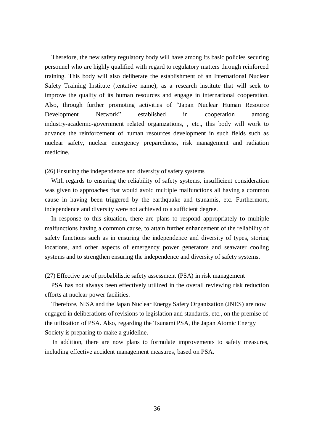Therefore, the new safety regulatory body will have among its basic policies securing personnel who are highly qualified with regard to regulatory matters through reinforced training. This body will also deliberate the establishment of an International Nuclear Safety Training Institute (tentative name), as a research institute that will seek to improve the quality of its human resources and engage in international cooperation. Also, through further promoting activities of "Japan Nuclear Human Resource Development Network" established in cooperation among industry-academic-government related organizations, , etc., this body will work to advance the reinforcement of human resources development in such fields such as nuclear safety, nuclear emergency preparedness, risk management and radiation medicine.

# (26) Ensuring the independence and diversity of safety systems

With regards to ensuring the reliability of safety systems, insufficient consideration was given to approaches that would avoid multiple malfunctions all having a common cause in having been triggered by the earthquake and tsunamis, etc. Furthermore, independence and diversity were not achieved to a sufficient degree.

In response to this situation, there are plans to respond appropriately to multiple malfunctions having a common cause, to attain further enhancement of the reliability of safety functions such as in ensuring the independence and diversity of types, storing locations, and other aspects of emergency power generators and seawater cooling systems and to strengthen ensuring the independence and diversity of safety systems.

# (27) Effective use of probabilistic safety assessment (PSA) in risk management

PSA has not always been effectively utilized in the overall reviewing risk reduction efforts at nuclear power facilities.

Therefore, NISA and the Japan Nuclear Energy Safety Organization (JNES) are now engaged in deliberations of revisions to legislation and standards, etc., on the premise of the utilization of PSA. Also, regarding the Tsunami PSA, the Japan Atomic Energy Society is preparing to make a guideline.

In addition, there are now plans to formulate improvements to safety measures, including effective accident management measures, based on PSA.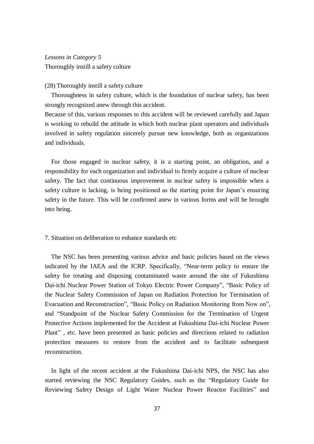# *Lessons in Category 5* Thoroughly instill a safety culture

# (28) Thoroughly instill a safety culture

Thoroughness in safety culture, which is the foundation of nuclear safety, has been strongly recognized anew through this accident.

Because of this, various responses to this accident will be reviewed carefully and Japan is working to rebuild the attitude in which both nuclear plant operators and individuals involved in safety regulation sincerely pursue new knowledge, both as organizations and individuals.

For those engaged in nuclear safety, it is a starting point, an obligation, and a responsibility for each organization and individual to firmly acquire a culture of nuclear safety. The fact that continuous improvement in nuclear safety is impossible when a safety culture is lacking, is being positioned as the starting point for Japan's ensuring safety in the future. This will be confirmed anew in various forms and will be brought into being.

#### 7. Situation on deliberation to enhance standards etc

The NSC has been presenting various advice and basic policies based on the views indicated by the IAEA and the ICRP. Specifically, "Near-term policy to ensure the safety for treating and disposing contaminated waste around the site of Fukushima Dai-ichi Nuclear Power Station of Tokyo Electric Power Company", "Basic Policy of the Nuclear Safety Commission of Japan on Radiation Protection for Termination of Evacuation and Reconstruction", "Basic Policy on Radiation Monitoring from Now on", and "Standpoint of the Nuclear Safety Commission for the Termination of Urgent Protective Actions implemented for the Accident at Fukushima Dai-ichi Nuclear Power Plant" , etc. have been presented as basic policies and directions related to radiation protection measures to restore from the accident and to facilitate subsequent reconstruction.

In light of the recent accident at the Fukushima Dai-ichi NPS, the NSC has also started reviewing the NSC Regulatory Guides, such as the "Regulatory Guide for Reviewing Safety Design of Light Water Nuclear Power Reactor Facilities" and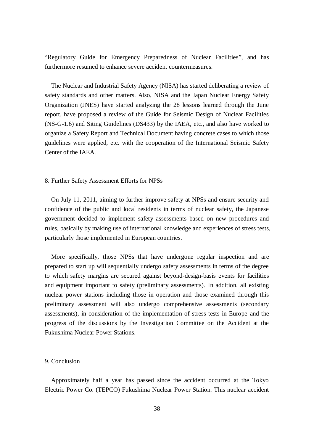"Regulatory Guide for Emergency Preparedness of Nuclear Facilities", and has furthermore resumed to enhance severe accident countermeasures.

The Nuclear and Industrial Safety Agency (NISA) has started deliberating a review of safety standards and other matters. Also, NISA and the Japan Nuclear Energy Safety Organization (JNES) have started analyzing the 28 lessons learned through the June report, have proposed a review of the Guide for Seismic Design of Nuclear Facilities (NS-G-1.6) and Siting Guidelines (DS433) by the IAEA, etc., and also have worked to organize a Safety Report and Technical Document having concrete cases to which those guidelines were applied, etc. with the cooperation of the International Seismic Safety Center of the IAEA.

#### 8. Further Safety Assessment Efforts for NPSs

On July 11, 2011, aiming to further improve safety at NPSs and ensure security and confidence of the public and local residents in terms of nuclear safety, the Japanese government decided to implement safety assessments based on new procedures and rules, basically by making use of international knowledge and experiences of stress tests, particularly those implemented in European countries.

More specifically, those NPSs that have undergone regular inspection and are prepared to start up will sequentially undergo safety assessments in terms of the degree to which safety margins are secured against beyond-design-basis events for facilities and equipment important to safety (preliminary assessments). In addition, all existing nuclear power stations including those in operation and those examined through this preliminary assessment will also undergo comprehensive assessments (secondary assessments), in consideration of the implementation of stress tests in Europe and the progress of the discussions by the Investigation Committee on the Accident at the Fukushima Nuclear Power Stations.

# 9. Conclusion

Approximately half a year has passed since the accident occurred at the Tokyo Electric Power Co. (TEPCO) Fukushima Nuclear Power Station. This nuclear accident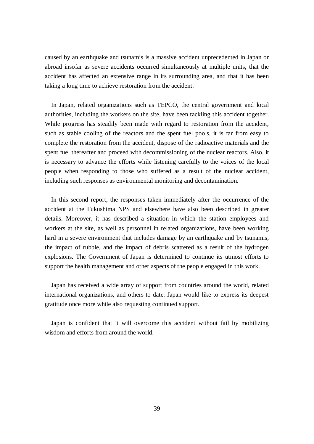caused by an earthquake and tsunamis is a massive accident unprecedented in Japan or abroad insofar as severe accidents occurred simultaneously at multiple units, that the accident has affected an extensive range in its surrounding area, and that it has been taking a long time to achieve restoration from the accident.

In Japan, related organizations such as TEPCO, the central government and local authorities, including the workers on the site, have been tackling this accident together. While progress has steadily been made with regard to restoration from the accident, such as stable cooling of the reactors and the spent fuel pools, it is far from easy to complete the restoration from the accident, dispose of the radioactive materials and the spent fuel thereafter and proceed with decommissioning of the nuclear reactors. Also, it is necessary to advance the efforts while listening carefully to the voices of the local people when responding to those who suffered as a result of the nuclear accident, including such responses as environmental monitoring and decontamination.

In this second report, the responses taken immediately after the occurrence of the accident at the Fukushima NPS and elsewhere have also been described in greater details. Moreover, it has described a situation in which the station employees and workers at the site, as well as personnel in related organizations, have been working hard in a severe environment that includes damage by an earthquake and by tsunamis, the impact of rubble, and the impact of debris scattered as a result of the hydrogen explosions. The Government of Japan is determined to continue its utmost efforts to support the health management and other aspects of the people engaged in this work.

Japan has received a wide array of support from countries around the world, related international organizations, and others to date. Japan would like to express its deepest gratitude once more while also requesting continued support.

Japan is confident that it will overcome this accident without fail by mobilizing wisdom and efforts from around the world.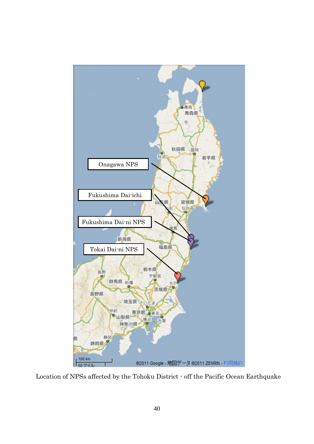

Location of NPSs affected by the Tohoku District - off the Pacific Ocean Earthquake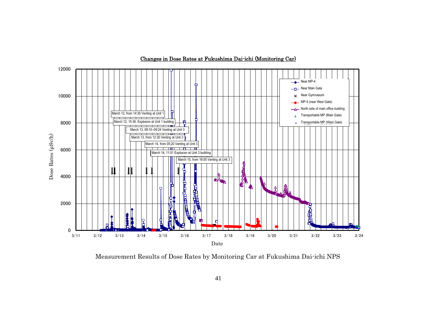![](_page_41_Figure_0.jpeg)

Changes in Dose Rates at Fukushima Dai-ichi (Monitoring Car)

Measurement Results of Dose Rates by Monitoring Car at Fukushima Dai-ichi NPS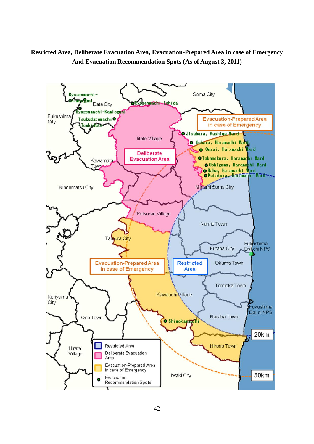# **Resricted Area, Deliberate Evacuation Area, Evacuation-Prepared Area in case of Emergency And Evacuation Recommendation Spots (As of August 3, 2011)**

![](_page_42_Figure_1.jpeg)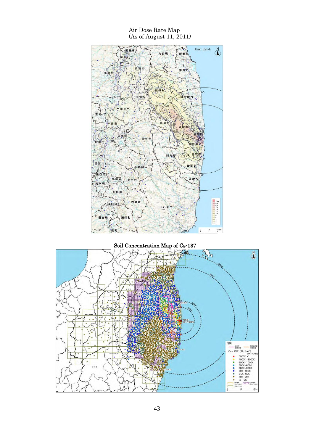Air Dose Rate Map (As of August 11, 2011) Unit:  $\mu$ Sv/h  $\sim$  $\delta$ 見町 丸森町 新地  $\frac{1}{2}$ 伊達市 相 馬·市, 川俣町 南相局市 松市 葛尾村 田村市  $\circ$ 富南市 川内 須賀川市 西蒙省 小野田 G Æ 王川村 広野町 平田村 石川町 ・古殿町  $\begin{array}{r}\n100 \\
-100 \\
40 \\
-20 \\
150 \\
-154 \\
-32 \\
-1\n\end{array}$ 如肌 いわき市 股川村  $\mathfrak s$  $10 km$  $\frac{0}{L}$ 情 町

# Soil Concentration Map of Cs-137

![](_page_43_Figure_2.jpeg)

43